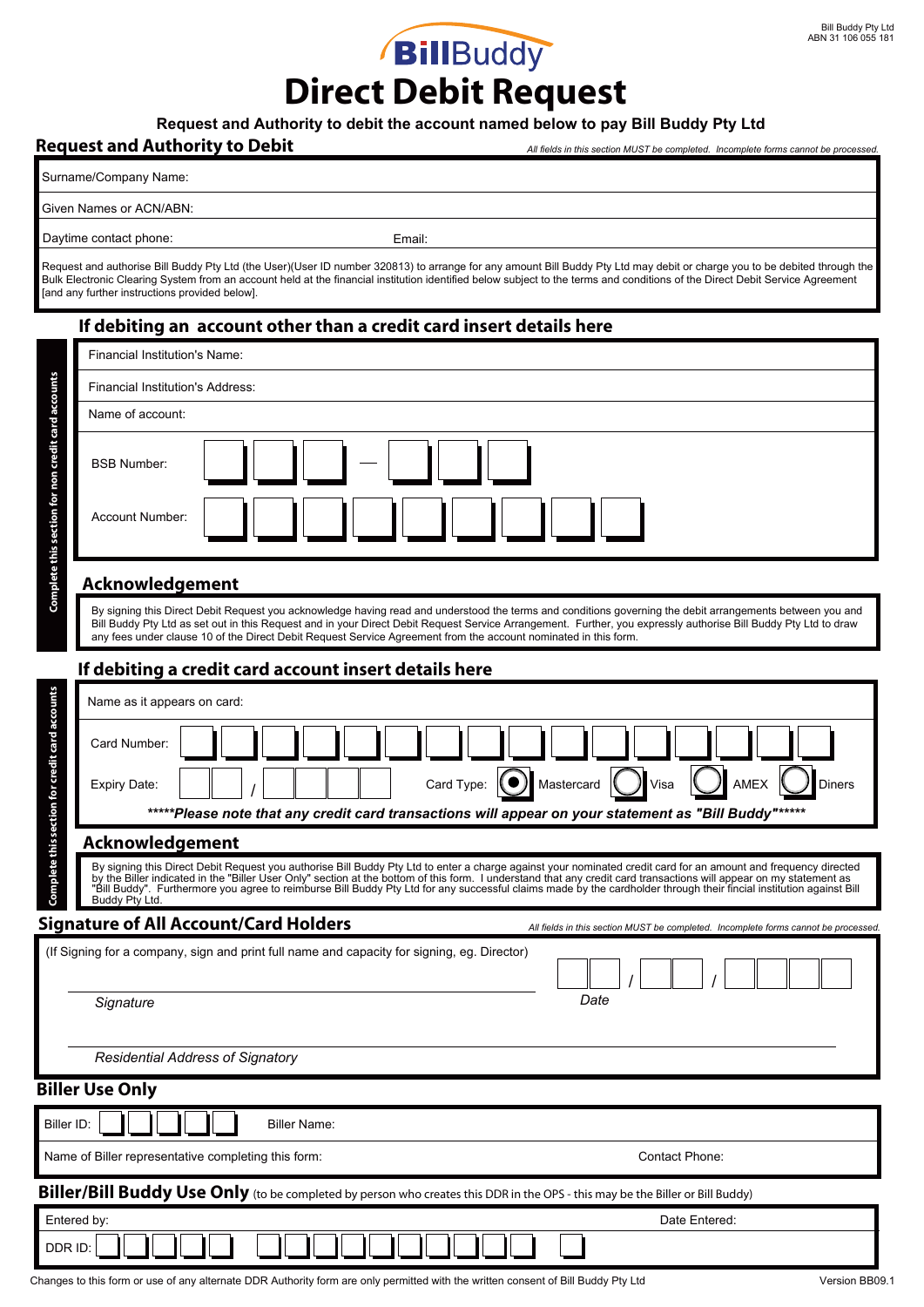*All fields in this section MUST be completed. Incomplete forms cannot be processed.*

## **Direct Debit Request**

#### **Request and Authority to debit the account named below to pay Bill Buddy Pty Ltd**

#### **Request and Authority to Debit**

Surname/Company Name:

Given Names or ACN/ABN:

Daytime contact phone: Email: Email:

Request and authorise Bill Buddy Pty Ltd (the User)(User ID number 320813) to arrange for any amount Bill Buddy Pty Ltd may debit or charge you to be debited through the Bulk Electronic Clearing System from an account held at the financial institution identified below subject to the terms and conditions of the Direct Debit Service Agreement [and any further instructions provided below].

#### **If debiting an account other than a credit card insert details here**

| Complete this section for non credit card accounts                                                                                 | <b>Financial Institution's Name:</b>                                                                                                                                                                                                                                                                                                                                                                                                                                                                                            |
|------------------------------------------------------------------------------------------------------------------------------------|---------------------------------------------------------------------------------------------------------------------------------------------------------------------------------------------------------------------------------------------------------------------------------------------------------------------------------------------------------------------------------------------------------------------------------------------------------------------------------------------------------------------------------|
|                                                                                                                                    | Financial Institution's Address:                                                                                                                                                                                                                                                                                                                                                                                                                                                                                                |
|                                                                                                                                    | Name of account:                                                                                                                                                                                                                                                                                                                                                                                                                                                                                                                |
|                                                                                                                                    | <b>BSB Number:</b><br>Account Number:                                                                                                                                                                                                                                                                                                                                                                                                                                                                                           |
|                                                                                                                                    |                                                                                                                                                                                                                                                                                                                                                                                                                                                                                                                                 |
|                                                                                                                                    | <b>Acknowledgement</b>                                                                                                                                                                                                                                                                                                                                                                                                                                                                                                          |
|                                                                                                                                    | By signing this Direct Debit Request you acknowledge having read and understood the terms and conditions governing the debit arrangements between you and<br>Bill Buddy Pty Ltd as set out in this Request and in your Direct Debit Request Service Arrangement. Further, you expressly authorise Bill Buddy Pty Ltd to draw<br>any fees under clause 10 of the Direct Debit Request Service Agreement from the account nominated in this form.                                                                                 |
|                                                                                                                                    | If debiting a credit card account insert details here                                                                                                                                                                                                                                                                                                                                                                                                                                                                           |
| Complete this section for credit card accounts                                                                                     | Name as it appears on card:                                                                                                                                                                                                                                                                                                                                                                                                                                                                                                     |
|                                                                                                                                    | Card Number:                                                                                                                                                                                                                                                                                                                                                                                                                                                                                                                    |
|                                                                                                                                    | $\bigcap$ Visa<br>Card Type: $\bigcirc$<br>Mastercard<br>AMEX<br>Diners<br>Expiry Date:                                                                                                                                                                                                                                                                                                                                                                                                                                         |
|                                                                                                                                    | *****Please note that any credit card transactions will appear on your statement as "Bill Buddy"*****                                                                                                                                                                                                                                                                                                                                                                                                                           |
|                                                                                                                                    | Acknowledgement                                                                                                                                                                                                                                                                                                                                                                                                                                                                                                                 |
|                                                                                                                                    | By signing this Direct Debit Request you authorise Bill Buddy Pty Ltd to enter a charge against your nominated credit card for an amount and frequency directed<br>by the Biller indicated in the "Biller User Only" section at the bottom of this form. I understand that any credit card transactions will appear on my statement as<br>"Bill Buddy". Furthermore you agree to reimburse Bill Buddy Pty Ltd for any successful claims made by the cardholder through their fincial institution against Bill<br>Buddy Pty Ltd. |
| <b>Signature of All Account/Card Holders</b><br>All fields in this section MUST be completed. Incomplete forms cannot be processed |                                                                                                                                                                                                                                                                                                                                                                                                                                                                                                                                 |
|                                                                                                                                    | (If Signing for a company, sign and print full name and capacity for signing, eg. Director)                                                                                                                                                                                                                                                                                                                                                                                                                                     |
|                                                                                                                                    | Date<br>Signature                                                                                                                                                                                                                                                                                                                                                                                                                                                                                                               |
|                                                                                                                                    | <b>Residential Address of Signatory</b>                                                                                                                                                                                                                                                                                                                                                                                                                                                                                         |
| <b>Biller Use Only</b>                                                                                                             |                                                                                                                                                                                                                                                                                                                                                                                                                                                                                                                                 |
| Biller ID:<br><b>Biller Name:</b>                                                                                                  |                                                                                                                                                                                                                                                                                                                                                                                                                                                                                                                                 |
| Name of Biller representative completing this form:<br>Contact Phone:                                                              |                                                                                                                                                                                                                                                                                                                                                                                                                                                                                                                                 |
| Biller/Bill Buddy Use Only (to be completed by person who creates this DDR in the OPS - this may be the Biller or Bill Buddy)      |                                                                                                                                                                                                                                                                                                                                                                                                                                                                                                                                 |
| Date Entered:<br>Entered by:                                                                                                       |                                                                                                                                                                                                                                                                                                                                                                                                                                                                                                                                 |
| DDR ID:                                                                                                                            |                                                                                                                                                                                                                                                                                                                                                                                                                                                                                                                                 |